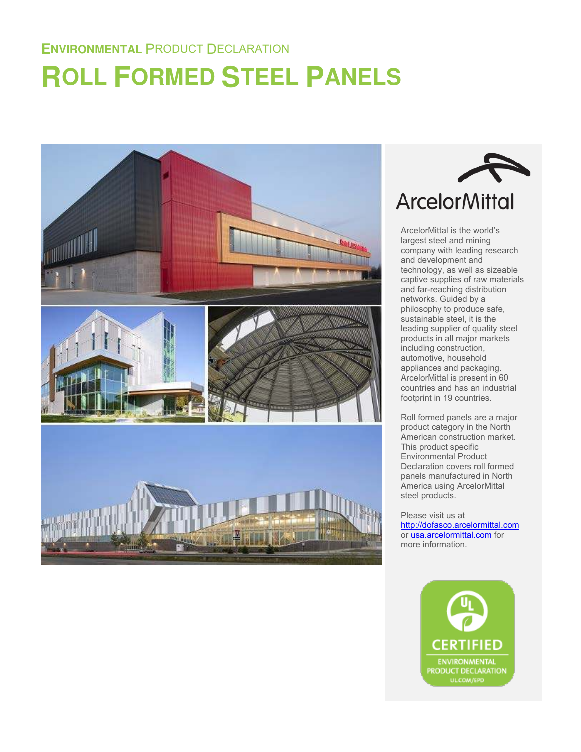# **ROLL FORMED STEEL PANELS**





ArcelorMittal is the world's largest steel and mining company with leading research and development and technology, as well as sizeable captive supplies of raw materials and far-reaching distribution networks. Guided by a philosophy to produce safe, sustainable steel, it is the leading supplier of quality steel products in all major markets including construction, automotive, household appliances and packaging. ArcelorMittal is present in 60 countries and has an industrial footprint in 19 countries.

Roll formed panels are a major product category in the North American construction market. This product specific Environmental Product Declaration covers roll formed panels manufactured in North America using ArcelorMittal steel products.

Please visit us at [http://dofasco.arcelormittal.com](http://dofasco.arcelormittal.com/) or [usa.arcelormittal.com f](http://www.usa.arcelormittal.com/)or more information.

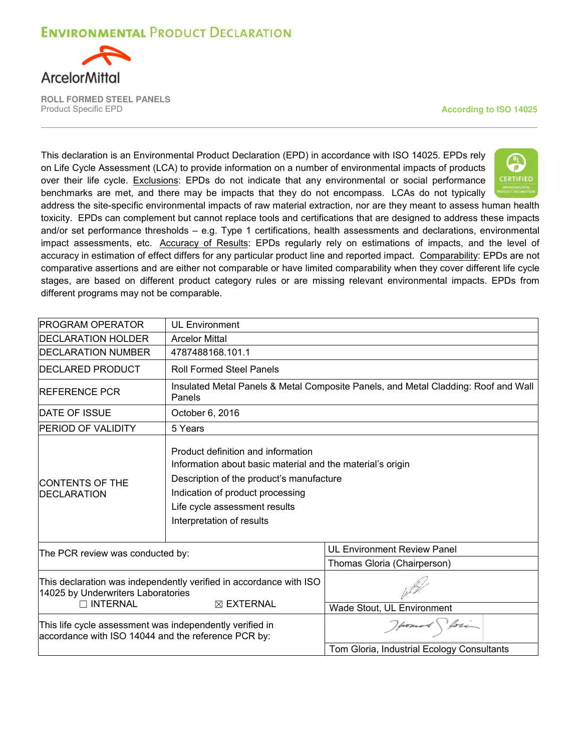

**ROLL FORMED STEEL PANELS**  Product Specific EPD **According to ISO 14025**

This declaration is an Environmental Product Declaration (EPD) in accordance with ISO 14025. EPDs rely on Life Cycle Assessment (LCA) to provide information on a number of environmental impacts of products over their life cycle. Exclusions: EPDs do not indicate that any environmental or social performance benchmarks are met, and there may be impacts that they do not encompass. LCAs do not typically



address the site-specific environmental impacts of raw material extraction, nor are they meant to assess human health toxicity. EPDs can complement but cannot replace tools and certifications that are designed to address these impacts and/or set performance thresholds – e.g. Type 1 certifications, health assessments and declarations, environmental impact assessments, etc. Accuracy of Results: EPDs regularly rely on estimations of impacts, and the level of accuracy in estimation of effect differs for any particular product line and reported impact. Comparability: EPDs are not comparative assertions and are either not comparable or have limited comparability when they cover different life cycle stages, are based on different product category rules or are missing relevant environmental impacts. EPDs from different programs may not be comparable.

| <b>IPROGRAM OPERATOR</b>                                                                                        | <b>UL Environment</b>                                                                                                                                                                                                                          |                                            |  |
|-----------------------------------------------------------------------------------------------------------------|------------------------------------------------------------------------------------------------------------------------------------------------------------------------------------------------------------------------------------------------|--------------------------------------------|--|
| <b>IDECLARATION HOLDER</b>                                                                                      | <b>Arcelor Mittal</b>                                                                                                                                                                                                                          |                                            |  |
| <b>DECLARATION NUMBER</b>                                                                                       | 4787488168.101.1                                                                                                                                                                                                                               |                                            |  |
| <b>IDECLARED PRODUCT</b>                                                                                        | <b>Roll Formed Steel Panels</b>                                                                                                                                                                                                                |                                            |  |
| <b>IREFERENCE PCR</b>                                                                                           | Insulated Metal Panels & Metal Composite Panels, and Metal Cladding: Roof and Wall<br>Panels                                                                                                                                                   |                                            |  |
| <b>DATE OF ISSUE</b>                                                                                            | October 6, 2016                                                                                                                                                                                                                                |                                            |  |
| <b>PERIOD OF VALIDITY</b>                                                                                       | 5 Years                                                                                                                                                                                                                                        |                                            |  |
| <b>ICONTENTS OF THE</b><br><b>IDECLARATION</b>                                                                  | Product definition and information<br>Information about basic material and the material's origin<br>Description of the product's manufacture<br>Indication of product processing<br>Life cycle assessment results<br>Interpretation of results |                                            |  |
| The PCR review was conducted by:                                                                                |                                                                                                                                                                                                                                                | <b>UL Environment Review Panel</b>         |  |
|                                                                                                                 |                                                                                                                                                                                                                                                | Thomas Gloria (Chairperson)                |  |
| This declaration was independently verified in accordance with ISO<br>14025 by Underwriters Laboratories        |                                                                                                                                                                                                                                                |                                            |  |
| $\Box$ INTERNAL                                                                                                 | $\boxtimes$ EXTERNAL                                                                                                                                                                                                                           | Wade Stout, UL Environment                 |  |
| This life cycle assessment was independently verified in<br>accordance with ISO 14044 and the reference PCR by: |                                                                                                                                                                                                                                                | promot fore                                |  |
|                                                                                                                 |                                                                                                                                                                                                                                                | Tom Gloria, Industrial Ecology Consultants |  |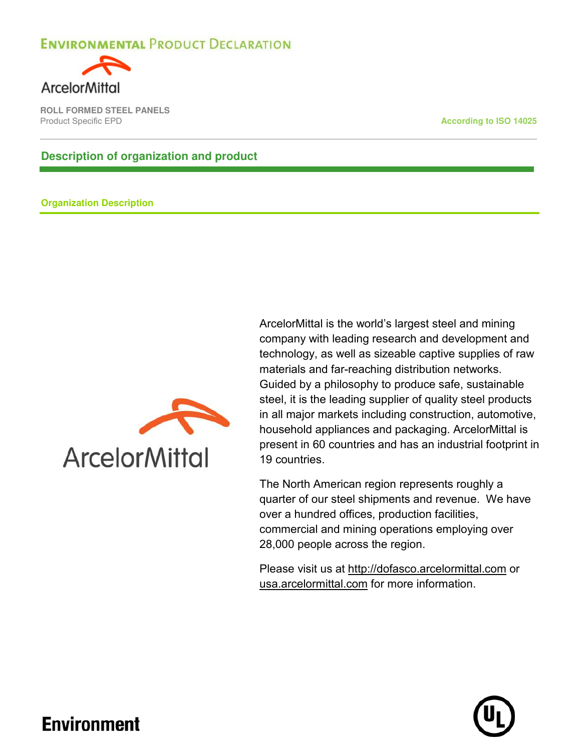

**ROLL FORMED STEEL PANELS Product Specific EPD According to ISO 14025** 

#### **Description of organization and product**

#### **Organization Description**



ArcelorMittal is the world's largest steel and mining company with leading research and development and technology, as well as sizeable captive supplies of raw materials and far-reaching distribution networks. Guided by a philosophy to produce safe, sustainable steel, it is the leading supplier of quality steel products in all major markets including construction, automotive, household appliances and packaging. ArcelorMittal is present in 60 countries and has an industrial footprint in 19 countries.

The North American region represents roughly a quarter of our steel shipments and revenue. We have over a hundred offices, production facilities, commercial and mining operations employing over 28,000 people across the region.

Please visit us at [http://dofasco.arcelormittal.com](http://dofasco.arcelormittal.com/) or [usa.arcelormittal.com](http://www.usa.arcelormittal.com/) for more information.

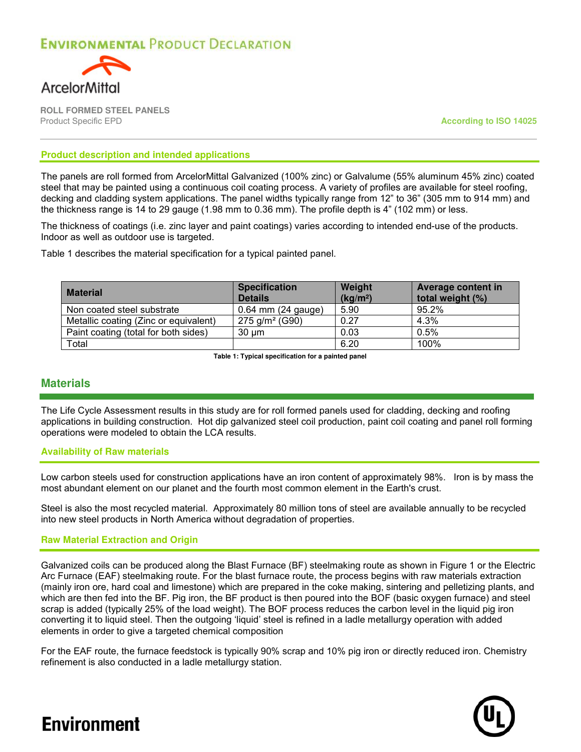

**ROLL FORMED STEEL PANELS**  Product Specific EPD **According to ISO 14025**

#### **Product description and intended applications**

The panels are roll formed from ArcelorMittal Galvanized (100% zinc) or Galvalume (55% aluminum 45% zinc) coated steel that may be painted using a continuous coil coating process. A variety of profiles are available for steel roofing, decking and cladding system applications. The panel widths typically range from 12" to 36" (305 mm to 914 mm) and the thickness range is 14 to 29 gauge (1.98 mm to 0.36 mm). The profile depth is 4" (102 mm) or less.

The thickness of coatings (i.e. zinc layer and paint coatings) varies according to intended end-use of the products. Indoor as well as outdoor use is targeted.

Table 1 describes the material specification for a typical painted panel.

| <b>Material</b>                       | <b>Specification</b><br><b>Details</b> | Weight<br>(kg/m <sup>2</sup> ) | <b>Average content in</b><br>total weight (%) |
|---------------------------------------|----------------------------------------|--------------------------------|-----------------------------------------------|
| Non coated steel substrate            | $0.64$ mm (24 gauge)                   | 5.90                           | 95.2%                                         |
| Metallic coating (Zinc or equivalent) | $275$ g/m <sup>2</sup> (G90)           | 0.27                           | 4.3%                                          |
| Paint coating (total for both sides)  | $30 \mu m$                             | 0.03                           | 0.5%                                          |
| Total                                 |                                        | 6.20                           | 100%                                          |

**Table 1: Typical specification for a painted panel**

#### **Materials**

The Life Cycle Assessment results in this study are for roll formed panels used for cladding, decking and roofing applications in building construction. Hot dip galvanized steel coil production, paint coil coating and panel roll forming operations were modeled to obtain the LCA results.

#### **Availability of Raw materials**

Low carbon steels used for construction applications have an iron content of approximately 98%. Iron is by mass the most abundant element on our planet and the fourth most common element in the Earth's crust.

Steel is also the most recycled material. Approximately 80 million tons of steel are available annually to be recycled into new steel products in North America without degradation of properties.

#### **Raw Material Extraction and Origin**

Galvanized coils can be produced along the Blast Furnace (BF) steelmaking route as shown in Figure 1 or the Electric Arc Furnace (EAF) steelmaking route. For the blast furnace route, the process begins with raw materials extraction (mainly iron ore, hard coal and limestone) which are prepared in the coke making, sintering and pelletizing plants, and which are then fed into the BF. Pig iron, the BF product is then poured into the BOF (basic oxygen furnace) and steel scrap is added (typically 25% of the load weight). The BOF process reduces the carbon level in the liquid pig iron converting it to liquid steel. Then the outgoing 'liquid' steel is refined in a ladle metallurgy operation with added elements in order to give a targeted chemical composition

For the EAF route, the furnace feedstock is typically 90% scrap and 10% pig iron or directly reduced iron. Chemistry refinement is also conducted in a ladle metallurgy station.

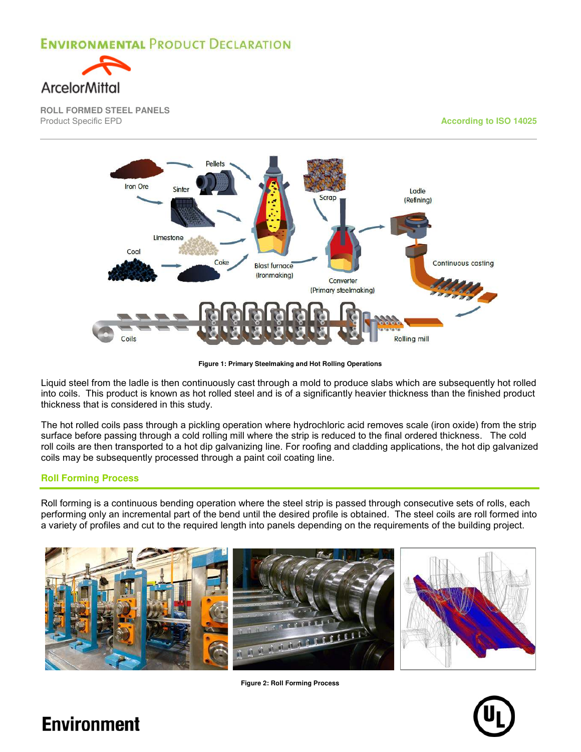

**ROLL FORMED STEEL PANELS** 

**According to ISO 14025** 



**Figure 1: Primary Steelmaking and Hot Rolling Operations**

Liquid steel from the ladle is then continuously cast through a mold to produce slabs which are subsequently hot rolled into coils. This product is known as hot rolled steel and is of a significantly heavier thickness than the finished product thickness that is considered in this study.

The hot rolled coils pass through a pickling operation where hydrochloric acid removes scale (iron oxide) from the strip surface before passing through a cold rolling mill where the strip is reduced to the final ordered thickness. The cold roll coils are then transported to a hot dip galvanizing line. For roofing and cladding applications, the hot dip galvanized coils may be subsequently processed through a paint coil coating line.

#### **Roll Forming Process**

Roll forming is a continuous bending operation where the steel strip is passed through consecutive sets of rolls, each performing only an incremental part of the bend until the desired profile is obtained. The steel coils are roll formed into a variety of profiles and cut to the required length into panels depending on the requirements of the building project.



**Figure 2: Roll Forming Process**

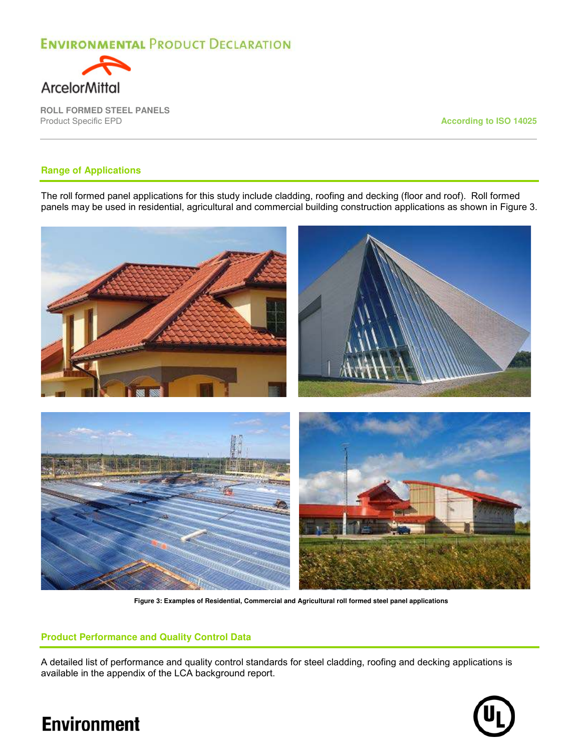

**ROLL FORMED STEEL PANELS** 

**According to ISO 14025** 

#### **Range of Applications**

The roll formed panel applications for this study include cladding, roofing and decking (floor and roof). Roll formed panels may be used in residential, agricultural and commercial building construction applications as shown in Figure 3.



**Figure 3: Examples of Residential, Commercial and Agricultural roll formed steel panel applications**

#### **Product Performance and Quality Control Data**

A detailed list of performance and quality control standards for steel cladding, roofing and decking applications is available in the appendix of the LCA background report.

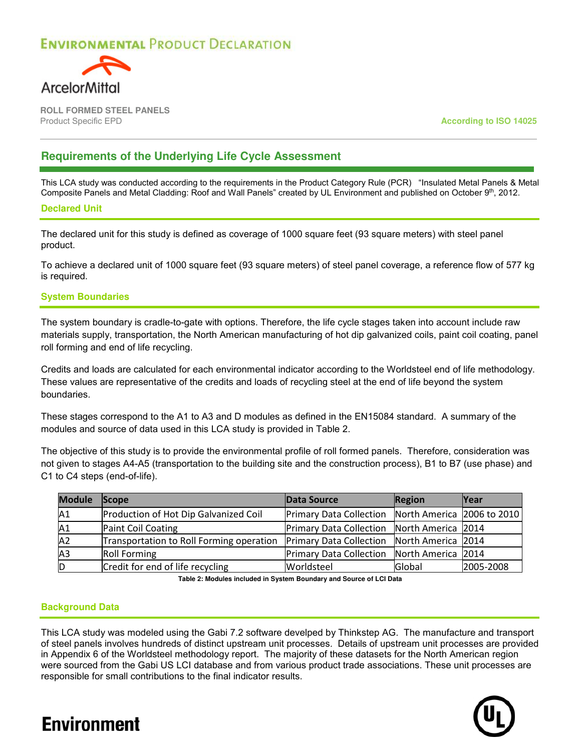

**ROLL FORMED STEEL PANELS**  Product Specific EPD **According to ISO 14025**

#### **Requirements of the Underlying Life Cycle Assessment**

This LCA study was conducted according to the requirements in the Product Category Rule (PCR) "Insulated Metal Panels & Metal Composite Panels and Metal Cladding: Roof and Wall Panels" created by UL Environment and published on October 9<sup>th</sup>, 2012.

#### **Declared Unit**

The declared unit for this study is defined as coverage of 1000 square feet (93 square meters) with steel panel product.

To achieve a declared unit of 1000 square feet (93 square meters) of steel panel coverage, a reference flow of 577 kg is required.

#### **System Boundaries**

The system boundary is cradle-to-gate with options. Therefore, the life cycle stages taken into account include raw materials supply, transportation, the North American manufacturing of hot dip galvanized coils, paint coil coating, panel roll forming and end of life recycling.

Credits and loads are calculated for each environmental indicator according to the Worldsteel end of life methodology. These values are representative of the credits and loads of recycling steel at the end of life beyond the system boundaries.

These stages correspond to the A1 to A3 and D modules as defined in the EN15084 standard. A summary of the modules and source of data used in this LCA study is provided in Table 2.

The objective of this study is to provide the environmental profile of roll formed panels. Therefore, consideration was not given to stages A4-A5 (transportation to the building site and the construction process), B1 to B7 (use phase) and C1 to C4 steps (end-of-life).

| <b>Module</b> | Scope                                    | Data Source                                        | <b>Region</b>      | <b>Year</b> |
|---------------|------------------------------------------|----------------------------------------------------|--------------------|-------------|
| A1            | Production of Hot Dip Galvanized Coil    | Primary Data Collection North America 2006 to 2010 |                    |             |
| A1            | Paint Coil Coating                       | Primary Data Collection North America 2014         |                    |             |
| A2            | Transportation to Roll Forming operation | <b>Primary Data Collection</b>                     | North America 2014 |             |
| A3            | <b>Roll Forming</b>                      | <b>Primary Data Collection</b>                     | North America 2014 |             |
|               | Credit for end of life recycling         | Worldsteel                                         | Global             | 2005-2008   |

**Table 2: Modules included in System Boundary and Source of LCI Data**

#### **Background Data**

This LCA study was modeled using the Gabi 7.2 software develped by Thinkstep AG. The manufacture and transport of steel panels involves hundreds of distinct upstream unit processes. Details of upstream unit processes are provided in Appendix 6 of the Worldsteel methodology report. The majority of these datasets for the North American region were sourced from the Gabi US LCI database and from various product trade associations. These unit processes are responsible for small contributions to the final indicator results.

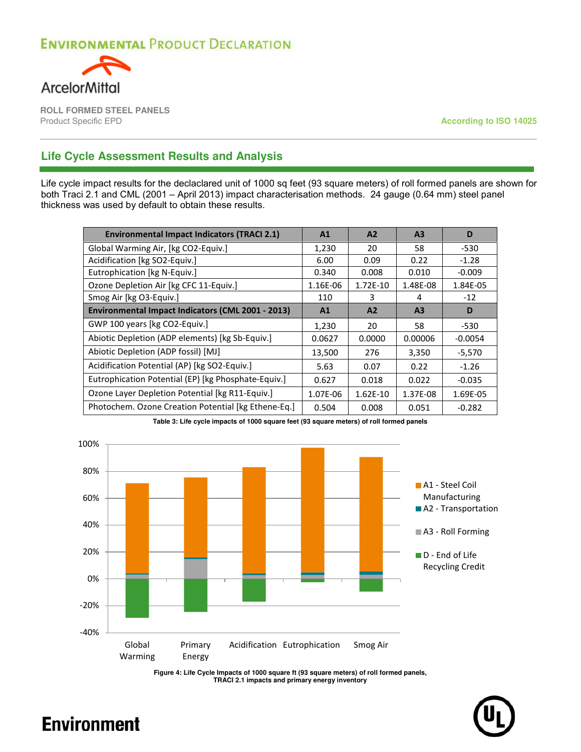

**ROLL FORMED STEEL PANELS** 

**According to ISO 14025** 

#### **Life Cycle Assessment Results and Analysis**

Life cycle impact results for the declaclared unit of 1000 sq feet (93 square meters) of roll formed panels are shown for both Traci 2.1 and CML (2001 – April 2013) impact characterisation methods. 24 gauge (0.64 mm) steel panel thickness was used by default to obtain these results.

| <b>Environmental Impact Indicators (TRACI 2.1)</b>  | A1       | A2       | A <sub>3</sub> | D         |
|-----------------------------------------------------|----------|----------|----------------|-----------|
| Global Warming Air, [kg CO2-Equiv.]                 | 1,230    | 20       | 58             | $-530$    |
| Acidification [kg SO2-Equiv.]                       | 6.00     | 0.09     | 0.22           | $-1.28$   |
| Eutrophication [kg N-Equiv.]                        | 0.340    | 0.008    | 0.010          | $-0.009$  |
| Ozone Depletion Air [kg CFC 11-Equiv.]              | 1.16E-06 | 1.72E-10 | 1.48E-08       | 1.84E-05  |
| Smog Air [kg O3-Equiv.]                             | 110      | 3        | 4              | $-12$     |
| Environmental Impact Indicators (CML 2001 - 2013)   | A1       | A2       | A <sub>3</sub> | D         |
| GWP 100 years [kg CO2-Equiv.]                       | 1,230    | 20       | 58             | $-530$    |
| Abiotic Depletion (ADP elements) [kg Sb-Equiv.]     | 0.0627   | 0.0000   | 0.00006        | $-0.0054$ |
| Abiotic Depletion (ADP fossil) [MJ]                 | 13,500   | 276      | 3,350          | $-5,570$  |
| Acidification Potential (AP) [kg SO2-Equiv.]        | 5.63     | 0.07     | 0.22           | $-1.26$   |
| Eutrophication Potential (EP) [kg Phosphate-Equiv.] | 0.627    | 0.018    | 0.022          | $-0.035$  |
| Ozone Layer Depletion Potential [kg R11-Equiv.]     | 1.07E-06 | 1.62E-10 | 1.37E-08       | 1.69E-05  |
| Photochem. Ozone Creation Potential [kg Ethene-Eq.] | 0.504    | 0.008    | 0.051          | $-0.282$  |



**Table 3: Life cycle impacts of 1000 square feet (93 square meters) of roll formed panels**

**Figure 4: Life Cycle Impacts of 1000 square ft (93 square meters) of roll formed panels, TRACI 2.1 impacts and primary energy inventory**

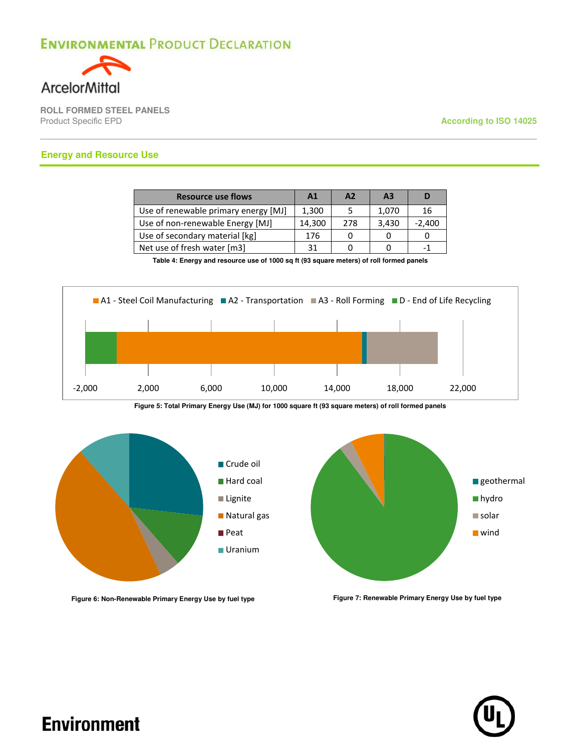

**ROLL FORMED STEEL PANELS** 

**According to ISO 14025** 

#### **Energy and Resource Use**

| <b>Resource use flows</b>            | A1     | A2  | A <sub>3</sub> | D        |
|--------------------------------------|--------|-----|----------------|----------|
| Use of renewable primary energy [MJ] | 1,300  |     | 1,070          | 16       |
| Use of non-renewable Energy [MJ]     | 14,300 | 278 | 3,430          | $-2,400$ |
| Use of secondary material [kg]       | 176    |     |                |          |
| Net use of fresh water [m3]          | 31     |     |                | -1       |

**Table 4: Energy and resource use of 1000 sq ft (93 square meters) of roll formed panels**



**Figure 5: Total Primary Energy Use (MJ) for 1000 square ft (93 square meters) of roll formed panels**



Figure 6: Non-Renewable Primary Energy Use by fuel type Figure 7: Renewable Primary Energy Use by fuel type

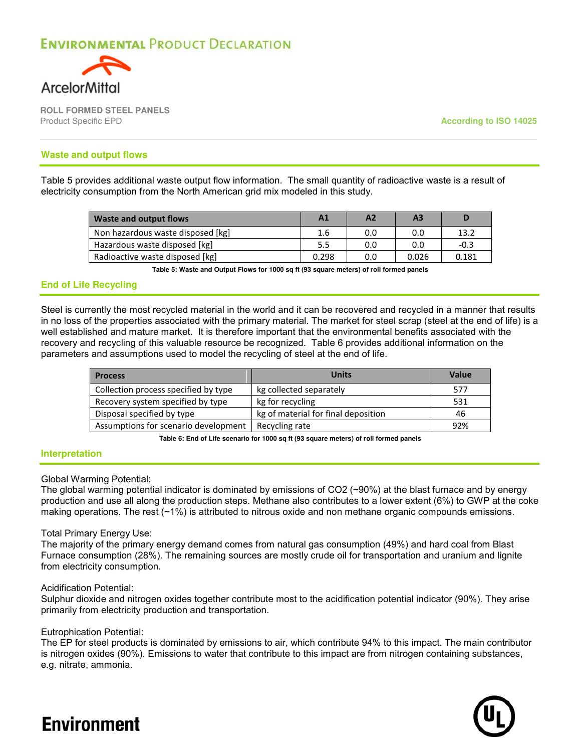

**ROLL FORMED STEEL PANELS**  Product Specific EPD **According to ISO 14025**

#### **Waste and output flows**

Table 5 provides additional waste output flow information. The small quantity of radioactive waste is a result of electricity consumption from the North American grid mix modeled in this study.

| <b>Waste and output flows</b>     | A <sub>1</sub> | Α2  | A <sub>3</sub> |        |
|-----------------------------------|----------------|-----|----------------|--------|
| Non hazardous waste disposed [kg] | 1.6            | 0.0 | 0.0            | 13.2   |
| Hazardous waste disposed [kg]     | 5.5            | 0.0 | 0.0            | $-0.3$ |
| Radioactive waste disposed [kg]   | 0.298          | 0.0 | 0.026          | 0.181  |

**Table 5: Waste and Output Flows for 1000 sq ft (93 square meters) of roll formed panels**

#### **End of Life Recycling**

Steel is currently the most recycled material in the world and it can be recovered and recycled in a manner that results in no loss of the properties associated with the primary material. The market for steel scrap (steel at the end of life) is a well established and mature market. It is therefore important that the environmental benefits associated with the recovery and recycling of this valuable resource be recognized. Table 6 provides additional information on the parameters and assumptions used to model the recycling of steel at the end of life.

| <b>Process</b>                       | <b>Units</b>                        | Value |
|--------------------------------------|-------------------------------------|-------|
| Collection process specified by type | kg collected separately             | 577   |
| Recovery system specified by type    | kg for recycling                    | 531   |
| Disposal specified by type           | kg of material for final deposition | 46    |
| Assumptions for scenario development | Recycling rate                      | 92%   |

**Table 6: End of Life scenario for 1000 sq ft (93 square meters) of roll formed panels**

#### **Interpretation**

#### Global Warming Potential:

The global warming potential indicator is dominated by emissions of CO2 (~90%) at the blast furnace and by energy production and use all along the production steps. Methane also contributes to a lower extent (6%) to GWP at the coke making operations. The rest (~1%) is attributed to nitrous oxide and non methane organic compounds emissions.

#### Total Primary Energy Use:

The majority of the primary energy demand comes from natural gas consumption (49%) and hard coal from Blast Furnace consumption (28%). The remaining sources are mostly crude oil for transportation and uranium and lignite from electricity consumption.

#### Acidification Potential:

Sulphur dioxide and nitrogen oxides together contribute most to the acidification potential indicator (90%). They arise primarily from electricity production and transportation.

#### Eutrophication Potential:

The EP for steel products is dominated by emissions to air, which contribute 94% to this impact. The main contributor is nitrogen oxides (90%). Emissions to water that contribute to this impact are from nitrogen containing substances, e.g. nitrate, ammonia.

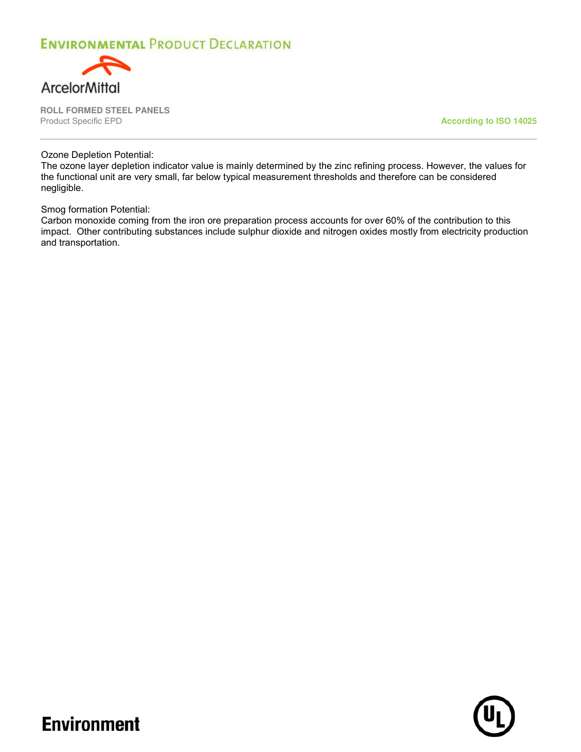

**ROLL FORMED STEEL PANELS** 

**According to ISO 14025** 

Ozone Depletion Potential:

The ozone layer depletion indicator value is mainly determined by the zinc refining process. However, the values for the functional unit are very small, far below typical measurement thresholds and therefore can be considered negligible.

Smog formation Potential:

**Environment** 

Carbon monoxide coming from the iron ore preparation process accounts for over 60% of the contribution to this impact. Other contributing substances include sulphur dioxide and nitrogen oxides mostly from electricity production and transportation.